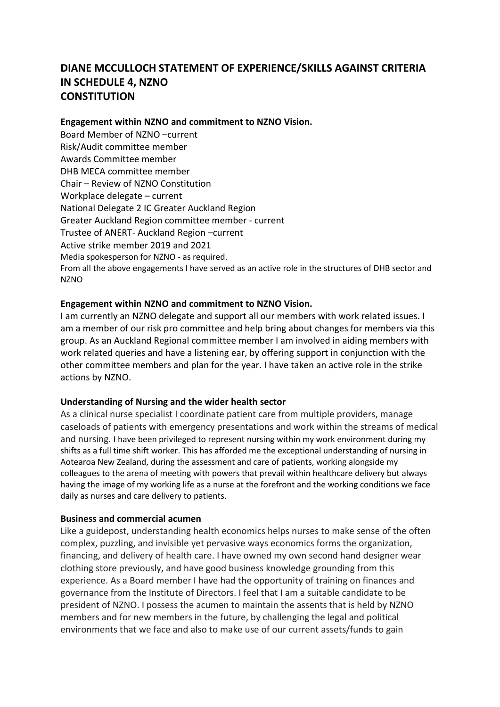# **DIANE MCCULLOCH STATEMENT OF EXPERIENCE/SKILLS AGAINST CRITERIA IN SCHEDULE 4, NZNO CONSTITUTION**

#### **Engagement within NZNO and commitment to NZNO Vision.**

Board Member of NZNO –current Risk/Audit committee member Awards Committee member DHB MECA committee member Chair – Review of NZNO Constitution Workplace delegate – current National Delegate 2 IC Greater Auckland Region Greater Auckland Region committee member - current Trustee of ANERT- Auckland Region –current Active strike member 2019 and 2021 Media spokesperson for NZNO - as required. From all the above engagements I have served as an active role in the structures of DHB sector and NZNO

# **Engagement within NZNO and commitment to NZNO Vision.**

I am currently an NZNO delegate and support all our members with work related issues. I am a member of our risk pro committee and help bring about changes for members via this group. As an Auckland Regional committee member I am involved in aiding members with work related queries and have a listening ear, by offering support in conjunction with the other committee members and plan for the year. I have taken an active role in the strike actions by NZNO.

# **Understanding of Nursing and the wider health sector**

As a clinical nurse specialist I coordinate patient care from multiple providers, manage caseloads of patients with emergency presentations and work within the streams of medical and nursing. I have been privileged to represent nursing within my work environment during my shifts as a full time shift worker. This has afforded me the exceptional understanding of nursing in Aotearoa New Zealand, during the assessment and care of patients, working alongside my colleagues to the arena of meeting with powers that prevail within healthcare delivery but always having the image of my working life as a nurse at the forefront and the working conditions we face daily as nurses and care delivery to patients.

# **Business and commercial acumen**

Like a guidepost, understanding health economics helps nurses to make sense of the often complex, puzzling, and invisible yet pervasive ways economics forms the organization, financing, and delivery of health care. I have owned my own second hand designer wear clothing store previously, and have good business knowledge grounding from this experience. As a Board member I have had the opportunity of training on finances and governance from the Institute of Directors. I feel that I am a suitable candidate to be president of NZNO. I possess the acumen to maintain the assents that is held by NZNO members and for new members in the future, by challenging the legal and political environments that we face and also to make use of our current assets/funds to gain